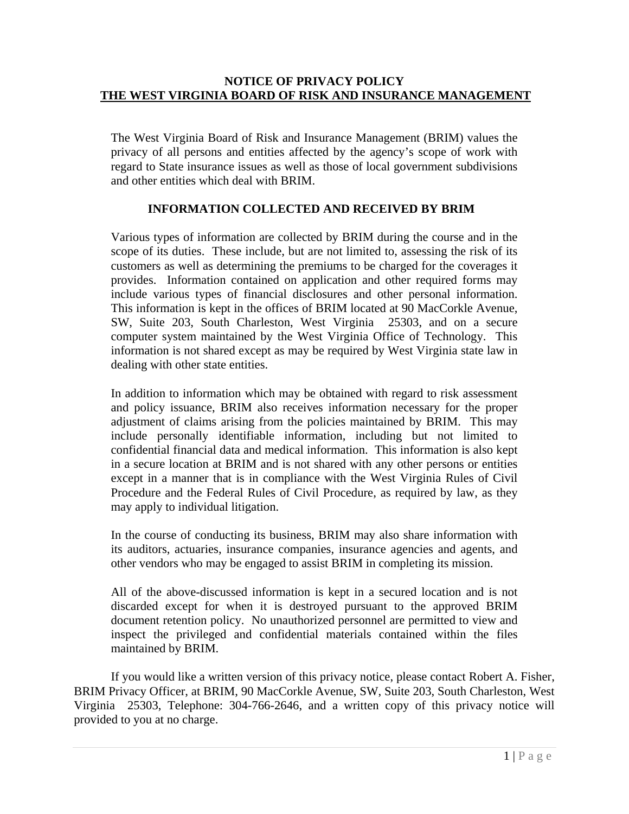## **NOTICE OF PRIVACY POLICY THE WEST VIRGINIA BOARD OF RISK AND INSURANCE MANAGEMENT**

The West Virginia Board of Risk and Insurance Management (BRIM) values the privacy of all persons and entities affected by the agency's scope of work with regard to State insurance issues as well as those of local government subdivisions and other entities which deal with BRIM.

# **INFORMATION COLLECTED AND RECEIVED BY BRIM**

Various types of information are collected by BRIM during the course and in the scope of its duties. These include, but are not limited to, assessing the risk of its customers as well as determining the premiums to be charged for the coverages it provides. Information contained on application and other required forms may include various types of financial disclosures and other personal information. This information is kept in the offices of BRIM located at 90 MacCorkle Avenue, SW, Suite 203, South Charleston, West Virginia 25303, and on a secure computer system maintained by the West Virginia Office of Technology. This information is not shared except as may be required by West Virginia state law in dealing with other state entities.

In addition to information which may be obtained with regard to risk assessment and policy issuance, BRIM also receives information necessary for the proper adjustment of claims arising from the policies maintained by BRIM. This may include personally identifiable information, including but not limited to confidential financial data and medical information. This information is also kept in a secure location at BRIM and is not shared with any other persons or entities except in a manner that is in compliance with the West Virginia Rules of Civil Procedure and the Federal Rules of Civil Procedure, as required by law, as they may apply to individual litigation.

In the course of conducting its business, BRIM may also share information with its auditors, actuaries, insurance companies, insurance agencies and agents, and other vendors who may be engaged to assist BRIM in completing its mission.

All of the above-discussed information is kept in a secured location and is not discarded except for when it is destroyed pursuant to the approved BRIM document retention policy. No unauthorized personnel are permitted to view and inspect the privileged and confidential materials contained within the files maintained by BRIM.

If you would like a written version of this privacy notice, please contact Robert A. Fisher, BRIM Privacy Officer, at BRIM, 90 MacCorkle Avenue, SW, Suite 203, South Charleston, West Virginia 25303, Telephone: 304-766-2646, and a written copy of this privacy notice will provided to you at no charge.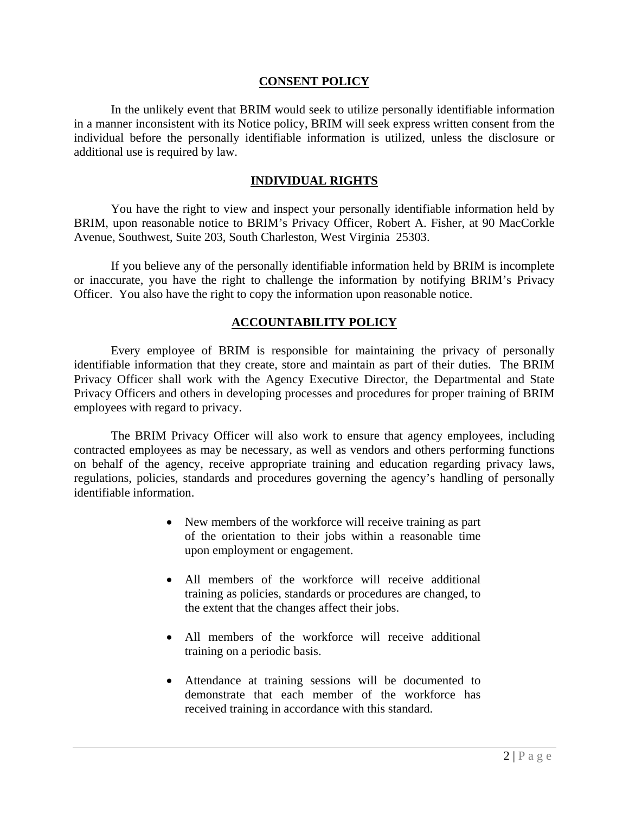#### **CONSENT POLICY**

 In the unlikely event that BRIM would seek to utilize personally identifiable information in a manner inconsistent with its Notice policy, BRIM will seek express written consent from the individual before the personally identifiable information is utilized, unless the disclosure or additional use is required by law.

### **INDIVIDUAL RIGHTS**

 You have the right to view and inspect your personally identifiable information held by BRIM, upon reasonable notice to BRIM's Privacy Officer, Robert A. Fisher, at 90 MacCorkle Avenue, Southwest, Suite 203, South Charleston, West Virginia 25303.

If you believe any of the personally identifiable information held by BRIM is incomplete or inaccurate, you have the right to challenge the information by notifying BRIM's Privacy Officer. You also have the right to copy the information upon reasonable notice.

### **ACCOUNTABILITY POLICY**

Every employee of BRIM is responsible for maintaining the privacy of personally identifiable information that they create, store and maintain as part of their duties. The BRIM Privacy Officer shall work with the Agency Executive Director, the Departmental and State Privacy Officers and others in developing processes and procedures for proper training of BRIM employees with regard to privacy.

 The BRIM Privacy Officer will also work to ensure that agency employees, including contracted employees as may be necessary, as well as vendors and others performing functions on behalf of the agency, receive appropriate training and education regarding privacy laws, regulations, policies, standards and procedures governing the agency's handling of personally identifiable information.

- New members of the workforce will receive training as part of the orientation to their jobs within a reasonable time upon employment or engagement.
- All members of the workforce will receive additional training as policies, standards or procedures are changed, to the extent that the changes affect their jobs.
- All members of the workforce will receive additional training on a periodic basis.
- Attendance at training sessions will be documented to demonstrate that each member of the workforce has received training in accordance with this standard.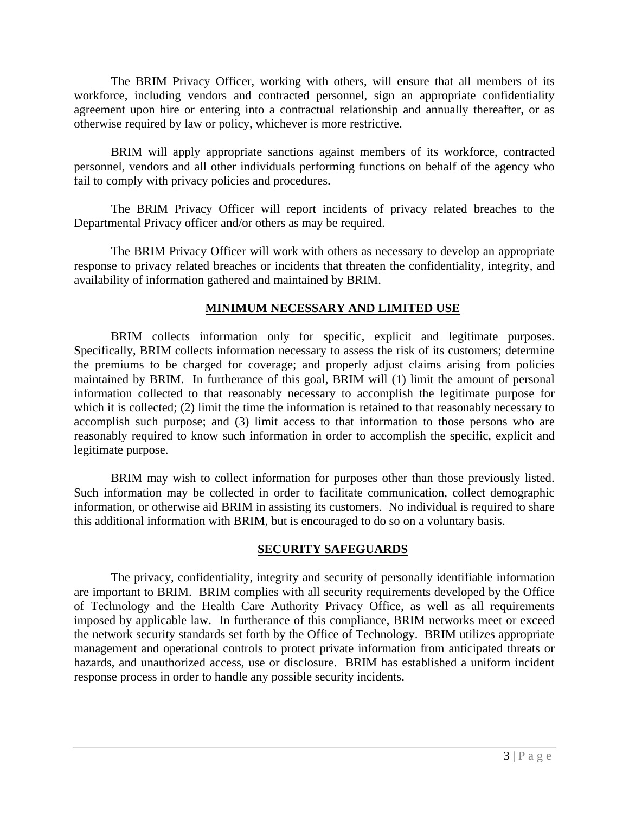The BRIM Privacy Officer, working with others, will ensure that all members of its workforce, including vendors and contracted personnel, sign an appropriate confidentiality agreement upon hire or entering into a contractual relationship and annually thereafter, or as otherwise required by law or policy, whichever is more restrictive.

BRIM will apply appropriate sanctions against members of its workforce, contracted personnel, vendors and all other individuals performing functions on behalf of the agency who fail to comply with privacy policies and procedures.

The BRIM Privacy Officer will report incidents of privacy related breaches to the Departmental Privacy officer and/or others as may be required.

The BRIM Privacy Officer will work with others as necessary to develop an appropriate response to privacy related breaches or incidents that threaten the confidentiality, integrity, and availability of information gathered and maintained by BRIM.

# **MINIMUM NECESSARY AND LIMITED USE**

BRIM collects information only for specific, explicit and legitimate purposes. Specifically, BRIM collects information necessary to assess the risk of its customers; determine the premiums to be charged for coverage; and properly adjust claims arising from policies maintained by BRIM. In furtherance of this goal, BRIM will (1) limit the amount of personal information collected to that reasonably necessary to accomplish the legitimate purpose for which it is collected; (2) limit the time the information is retained to that reasonably necessary to accomplish such purpose; and (3) limit access to that information to those persons who are reasonably required to know such information in order to accomplish the specific, explicit and legitimate purpose.

BRIM may wish to collect information for purposes other than those previously listed. Such information may be collected in order to facilitate communication, collect demographic information, or otherwise aid BRIM in assisting its customers. No individual is required to share this additional information with BRIM, but is encouraged to do so on a voluntary basis.

### **SECURITY SAFEGUARDS**

The privacy, confidentiality, integrity and security of personally identifiable information are important to BRIM. BRIM complies with all security requirements developed by the Office of Technology and the Health Care Authority Privacy Office, as well as all requirements imposed by applicable law. In furtherance of this compliance, BRIM networks meet or exceed the network security standards set forth by the Office of Technology. BRIM utilizes appropriate management and operational controls to protect private information from anticipated threats or hazards, and unauthorized access, use or disclosure. BRIM has established a uniform incident response process in order to handle any possible security incidents.